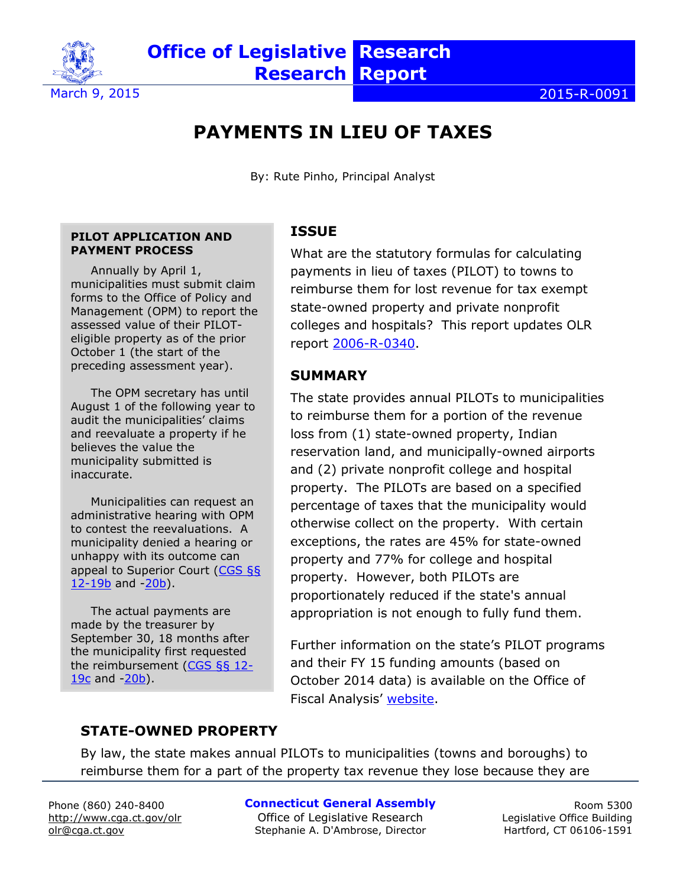

# **PAYMENTS IN LIEU OF TAXES**

By: Rute Pinho, Principal Analyst

#### **PILOT APPLICATION AND PAYMENT PROCESS**

Annually by April 1, municipalities must submit claim forms to the Office of Policy and Management (OPM) to report the assessed value of their PILOTeligible property as of the prior October 1 (the start of the preceding assessment year).

The OPM secretary has until August 1 of the following year to audit the municipalities' claims and reevaluate a property if he believes the value the municipality submitted is inaccurate.

Municipalities can request an administrative hearing with OPM to contest the reevaluations. A municipality denied a hearing or unhappy with its outcome can appeal to Superior Court [\(CGS §§](http://cga.ct.gov/current/pub/chap_201.htm#sec_12-19b)   $12-19b$  and  $-20b$ ).

The actual payments are made by the treasurer by September 30, 18 months after the municipality first requested the reimbursement [\(CGS §§ 12-](http://cga.ct.gov/current/pub/chap_201.htm#sec_12-19c) [19c](http://cga.ct.gov/current/pub/chap_201.htm#sec_12-19c) and [-20b\)](http://www.cga.ct.gov/current/pub/chap_201.htm).

### **ISSUE**

What are the statutory formulas for calculating payments in lieu of taxes (PILOT) to towns to reimburse them for lost revenue for tax exempt state-owned property and private nonprofit colleges and hospitals? This report updates OLR report [2006-R-0340.](http://www.cga.ct.gov/2006/rpt/2006-R-0340.htm)

### **SUMMARY**

The state provides annual PILOTs to municipalities to reimburse them for a portion of the revenue loss from (1) state-owned property, Indian reservation land, and municipally-owned airports and (2) private nonprofit college and hospital property. The PILOTs are based on a specified percentage of taxes that the municipality would otherwise collect on the property. With certain exceptions, the rates are 45% for state-owned property and 77% for college and hospital property. However, both PILOTs are proportionately reduced if the state's annual appropriation is not enough to fully fund them.

Further information on the state's PILOT programs and their FY 15 funding amounts (based on October 2014 data) is available on the Office of Fiscal Analysis' [website.](http://www.cga.ct.gov/ofa/Documents/year/SAM/2014SAM-20141014_FY%2015%20PILOT%20Payments%20and%20Reimbursement%20Rates.pdf)

### **STATE-OWNED PROPERTY**

By law, the state makes annual PILOTs to municipalities (towns and boroughs) to reimburse them for a part of the property tax revenue they lose because they are

Phone (860) 240-8400 <http://www.cga.ct.gov/olr> olr@cga.ct.gov

#### **Connecticut General Assembly**

Office of Legislative Research Stephanie A. D'Ambrose, Director

Room 5300 Legislative Office Building Hartford, CT 06106-1591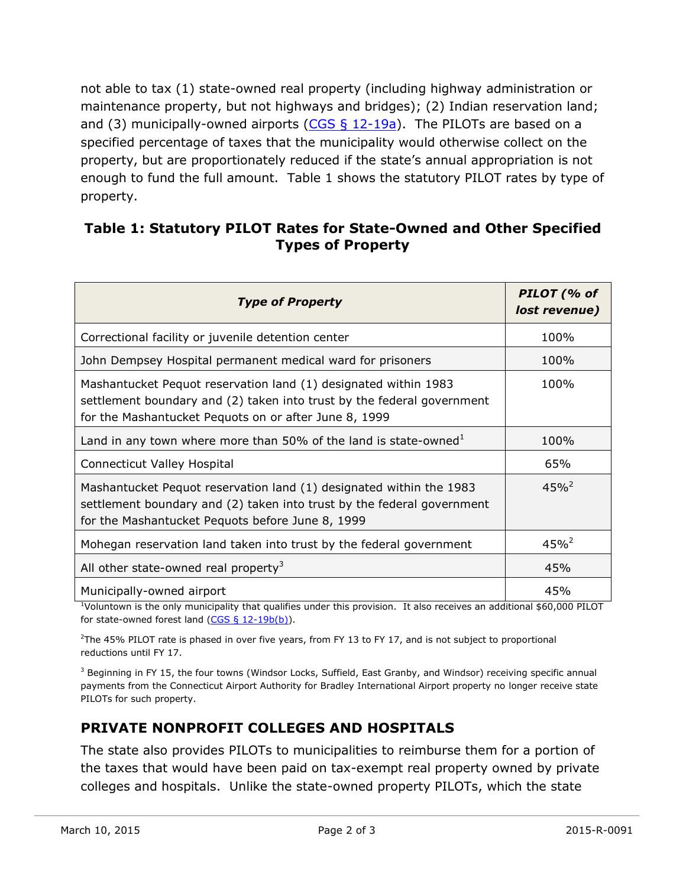not able to tax (1) state-owned real property (including highway administration or maintenance property, but not highways and bridges); (2) Indian reservation land; and (3) municipally-owned airports ( $CGS \,$ § 12-19a). The PILOTs are based on a specified percentage of taxes that the municipality would otherwise collect on the property, but are proportionately reduced if the state's annual appropriation is not enough to fund the full amount. Table 1 shows the statutory PILOT rates by type of property.

#### **Table 1: Statutory PILOT Rates for State-Owned and Other Specified Types of Property**

| <b>Type of Property</b>                                                                                                                                                                            | PILOT (% of<br>lost revenue) |
|----------------------------------------------------------------------------------------------------------------------------------------------------------------------------------------------------|------------------------------|
| Correctional facility or juvenile detention center                                                                                                                                                 | 100%                         |
| John Dempsey Hospital permanent medical ward for prisoners                                                                                                                                         | 100%                         |
| Mashantucket Pequot reservation land (1) designated within 1983<br>settlement boundary and (2) taken into trust by the federal government<br>for the Mashantucket Pequots on or after June 8, 1999 | 100%                         |
| Land in any town where more than 50% of the land is state-owned <sup>1</sup>                                                                                                                       | 100%                         |
| <b>Connecticut Valley Hospital</b>                                                                                                                                                                 | 65%                          |
| Mashantucket Pequot reservation land (1) designated within the 1983<br>settlement boundary and (2) taken into trust by the federal government<br>for the Mashantucket Pequots before June 8, 1999  | $45\%^2$                     |
| Mohegan reservation land taken into trust by the federal government                                                                                                                                | $45%^{2}$                    |
| All other state-owned real property <sup>3</sup>                                                                                                                                                   | 45%                          |
| Municipally-owned airport                                                                                                                                                                          | 45%                          |

 $1$ Voluntown is the only municipality that qualifies under this provision. It also receives an additional \$60,000 PILOT for state-owned forest land [\(CGS § 12-19b\(b\)\)](http://cga.ct.gov/current/pub/chap_201.htm#sec_12-19b).

 $2$ The 45% PILOT rate is phased in over five years, from FY 13 to FY 17, and is not subject to proportional reductions until FY 17.

 $3$  Beginning in FY 15, the four towns (Windsor Locks, Suffield, East Granby, and Windsor) receiving specific annual payments from the Connecticut Airport Authority for Bradley International Airport property no longer receive state PILOTs for such property.

## **PRIVATE NONPROFIT COLLEGES AND HOSPITALS**

The state also provides PILOTs to municipalities to reimburse them for a portion of the taxes that would have been paid on tax-exempt real property owned by private colleges and hospitals. Unlike the state-owned property PILOTs, which the state